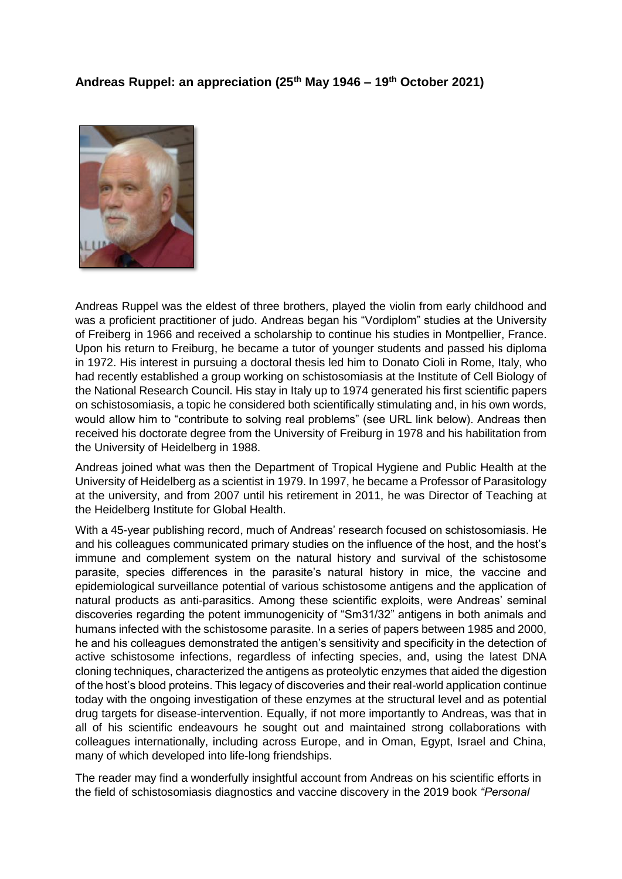## **Andreas Ruppel: an appreciation (25th May 1946 – 19th October 2021)**



Andreas Ruppel was the eldest of three brothers, played the violin from early childhood and was a proficient practitioner of judo. Andreas began his "Vordiplom" studies at the University of Freiberg in 1966 and received a scholarship to continue his studies in Montpellier, France. Upon his return to Freiburg, he became a tutor of younger students and passed his diploma in 1972. His interest in pursuing a doctoral thesis led him to Donato Cioli in Rome, Italy, who had recently established a group working on schistosomiasis at the Institute of Cell Biology of the National Research Council. His stay in Italy up to 1974 generated his first scientific papers on schistosomiasis, a topic he considered both scientifically stimulating and, in his own words, would allow him to "contribute to solving real problems" (see URL link below). Andreas then received his doctorate degree from the University of Freiburg in 1978 and his habilitation from the University of Heidelberg in 1988.

Andreas joined what was then the Department of Tropical Hygiene and Public Health at the University of Heidelberg as a scientist in 1979. In 1997, he became a Professor of Parasitology at the university, and from 2007 until his retirement in 2011, he was Director of Teaching at the Heidelberg Institute for Global Health.

With a 45-year publishing record, much of Andreas' research focused on schistosomiasis. He and his colleagues communicated primary studies on the influence of the host, and the host's immune and complement system on the natural history and survival of the schistosome parasite, species differences in the parasite's natural history in mice, the vaccine and epidemiological surveillance potential of various schistosome antigens and the application of natural products as anti-parasitics. Among these scientific exploits, were Andreas' seminal discoveries regarding the potent immunogenicity of "Sm31/32" antigens in both animals and humans infected with the schistosome parasite. In a series of papers between 1985 and 2000, he and his colleagues demonstrated the antigen's sensitivity and specificity in the detection of active schistosome infections, regardless of infecting species, and, using the latest DNA cloning techniques, characterized the antigens as proteolytic enzymes that aided the digestion of the host's blood proteins. This legacy of discoveries and their real-world application continue today with the ongoing investigation of these enzymes at the structural level and as potential drug targets for disease-intervention. Equally, if not more importantly to Andreas, was that in all of his scientific endeavours he sought out and maintained strong collaborations with colleagues internationally, including across Europe, and in Oman, Egypt, Israel and China, many of which developed into life-long friendships.

The reader may find a wonderfully insightful account from Andreas on his scientific efforts in the field of schistosomiasis diagnostics and vaccine discovery in the 2019 book *"Personal*